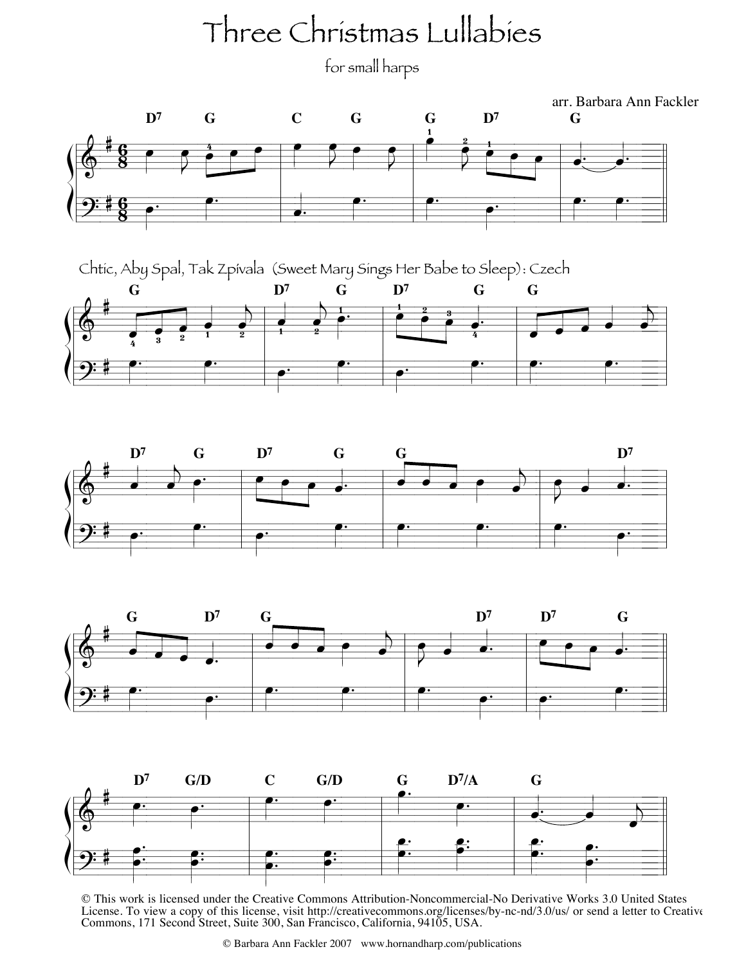## Three Christmas Lullabies

for small harps











© This work is licensed under the Creative Commons Attribution-Noncommercial-No Derivative Works 3.0 United States License. To view a copy of this license, visit http://creativecommons.org/licenses/by-nc-nd/3.0/us/ or send a letter to Creative Commons, 171 Second Street, Suite 300, San Francisco, California, 94105, USA.

© Barbara Ann Fackler 2007 www.hornandharp.com/publications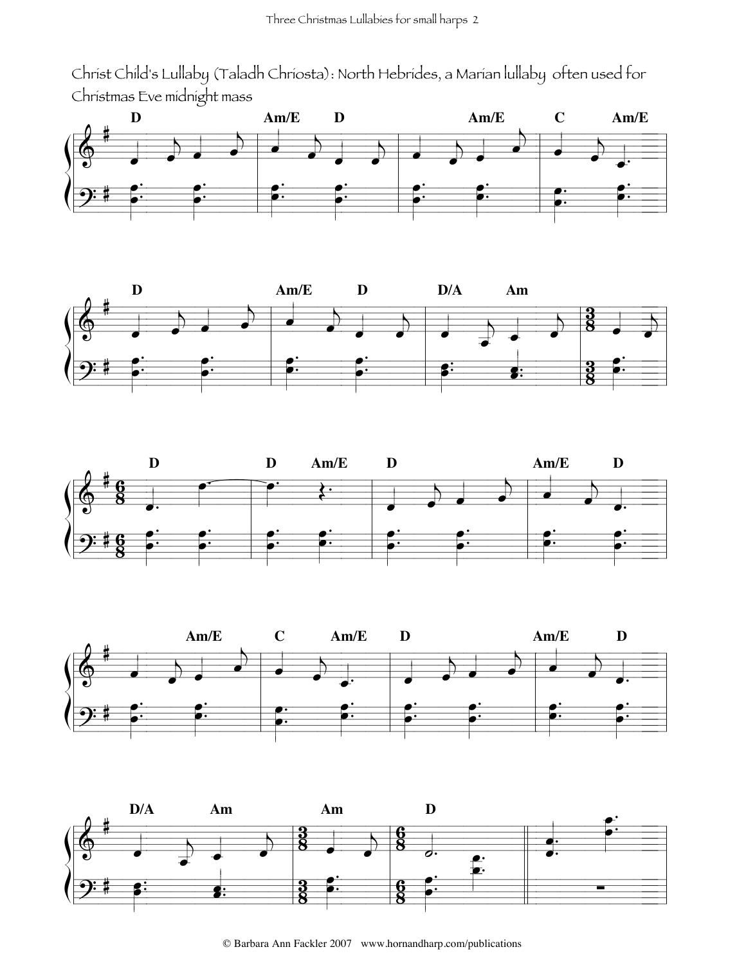Christ Child's Lullaby (Taladh Chriosta): North Hebrides, a Marian lullaby often used for Christmas Eve midnight mass









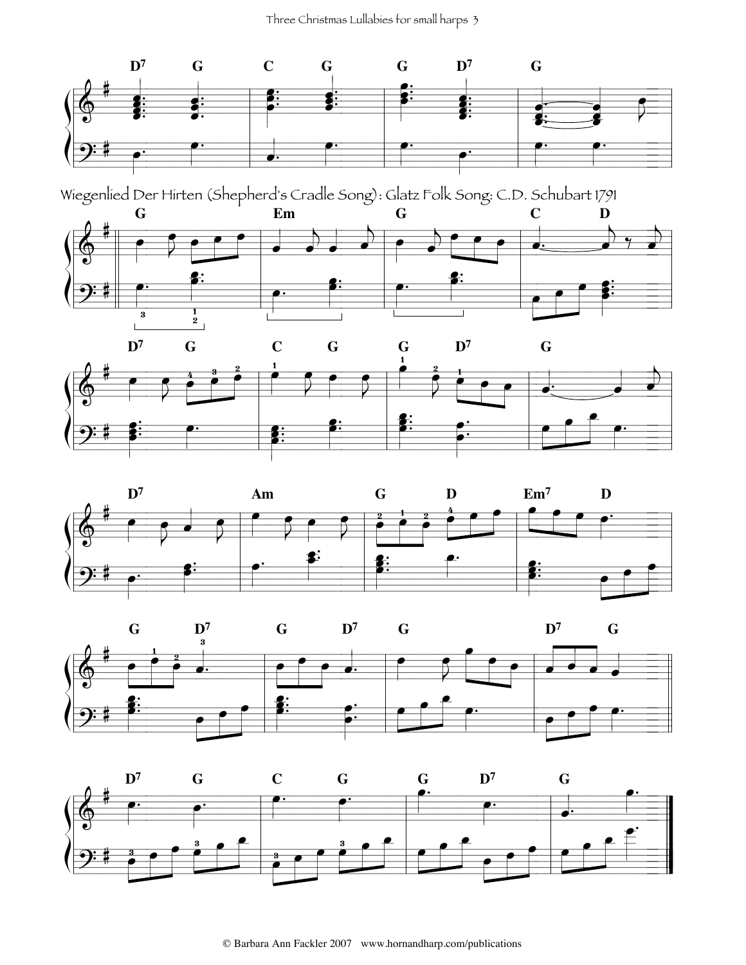Three Christmas Lullabies for small harps 3



Wiegenlied Der Hirten (Shepherd's Cradle Song): Glatz Folk Song: C.D. Schubart 1791